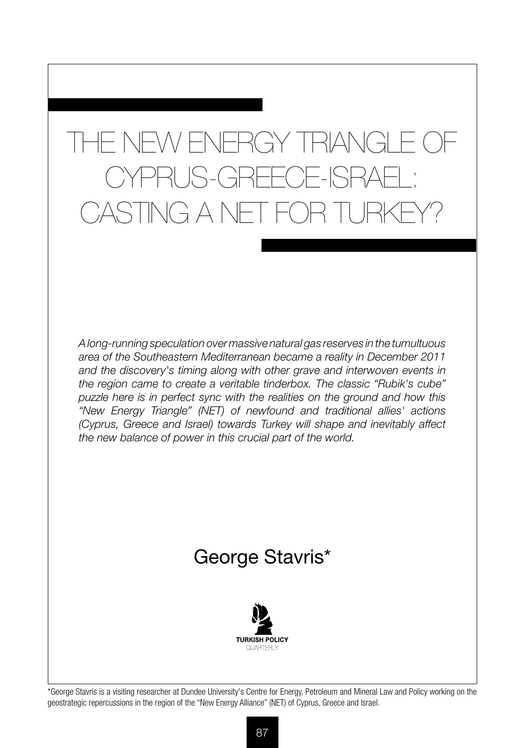# THE NEW ENERGY TRIANGLE CYPRUS-GREECE-ISRAE CASTING A NET FOR TURKE

*A long-running speculation over massive natural gas reserves in the tumultuous area of the Southeastern Mediterranean became a reality in December 2011 and the discovery's timing along with other grave and interwoven events in the region came to create a veritable tinderbox. The classic "Rubik's cube" puzzle here is in perfect sync with the realities on the ground and how this "New Energy Triangle" (NET) of newfound and traditional allies' actions (Cyprus, Greece and Israel) towards Turkey will shape and inevitably affect the new balance of power in this crucial part of the world.*

## George Stavris\*



\*George Stavris is a visiting researcher at Dundee University's Centre for Energy, Petroleum and Mineral Law and Policy working on the geostrategic repercussions in the region of the "New Energy Alliance" (NET) of Cyprus, Greece and Israel.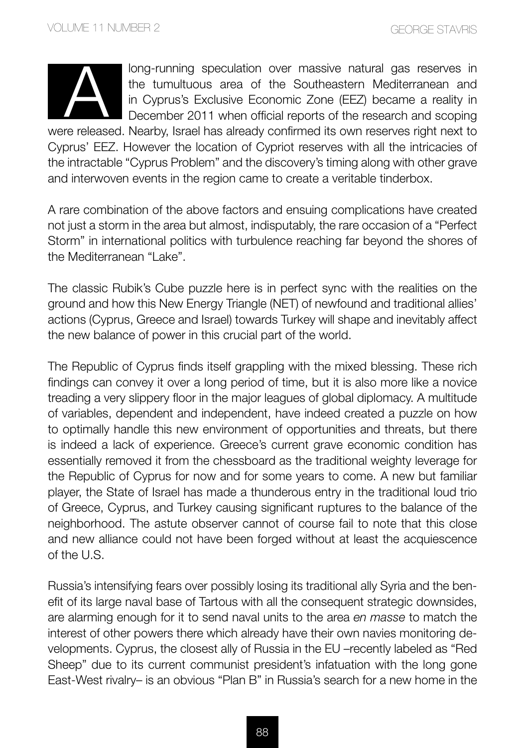

long-running speculation over massive natural gas reserves in the tumultuous area of the Southeastern Mediterranean and in Cyprus's Exclusive Economic Zone (EEZ) became a reality in December 2011 when official reports of the research and scoping

were released. Nearby, Israel has already confirmed its own reserves right next to Cyprus' EEZ. However the location of Cypriot reserves with all the intricacies of the intractable "Cyprus Problem" and the discovery's timing along with other grave and interwoven events in the region came to create a veritable tinderbox.

A rare combination of the above factors and ensuing complications have created not just a storm in the area but almost, indisputably, the rare occasion of a "Perfect Storm" in international politics with turbulence reaching far beyond the shores of the Mediterranean "Lake".

The classic Rubik's Cube puzzle here is in perfect sync with the realities on the ground and how this New Energy Triangle (NET) of newfound and traditional allies' actions (Cyprus, Greece and Israel) towards Turkey will shape and inevitably affect the new balance of power in this crucial part of the world.

The Republic of Cyprus finds itself grappling with the mixed blessing. These rich findings can convey it over a long period of time, but it is also more like a novice treading a very slippery floor in the major leagues of global diplomacy. A multitude of variables, dependent and independent, have indeed created a puzzle on how to optimally handle this new environment of opportunities and threats, but there is indeed a lack of experience. Greece's current grave economic condition has essentially removed it from the chessboard as the traditional weighty leverage for the Republic of Cyprus for now and for some years to come. A new but familiar player, the State of Israel has made a thunderous entry in the traditional loud trio of Greece, Cyprus, and Turkey causing significant ruptures to the balance of the neighborhood. The astute observer cannot of course fail to note that this close and new alliance could not have been forged without at least the acquiescence of the U.S.

Russia's intensifying fears over possibly losing its traditional ally Syria and the benefit of its large naval base of Tartous with all the consequent strategic downsides, are alarming enough for it to send naval units to the area *en masse* to match the interest of other powers there which already have their own navies monitoring developments. Cyprus, the closest ally of Russia in the EU –recently labeled as "Red Sheep" due to its current communist president's infatuation with the long gone East-West rivalry– is an obvious "Plan B" in Russia's search for a new home in the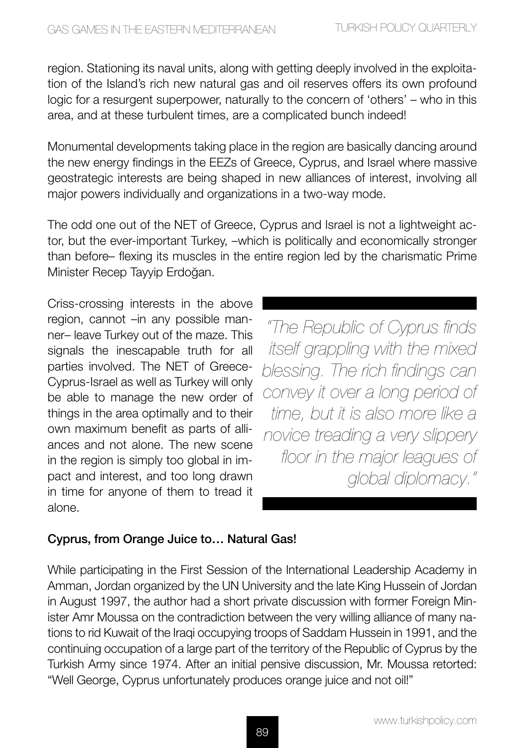region. Stationing its naval units, along with getting deeply involved in the exploitation of the Island's rich new natural gas and oil reserves offers its own profound logic for a resurgent superpower, naturally to the concern of 'others' – who in this area, and at these turbulent times, are a complicated bunch indeed!

Monumental developments taking place in the region are basically dancing around the new energy findings in the EEZs of Greece, Cyprus, and Israel where massive geostrategic interests are being shaped in new alliances of interest, involving all major powers individually and organizations in a two-way mode.

The odd one out of the NET of Greece, Cyprus and Israel is not a lightweight actor, but the ever-important Turkey, –which is politically and economically stronger than before– flexing its muscles in the entire region led by the charismatic Prime Minister Recep Tayyip Erdoğan.

Criss-crossing interests in the above region, cannot –in any possible manner– leave Turkey out of the maze. This signals the inescapable truth for all parties involved. The NET of Greece-Cyprus-Israel as well as Turkey will only be able to manage the new order of things in the area optimally and to their own maximum benefit as parts of alliances and not alone. The new scene in the region is simply too global in impact and interest, and too long drawn in time for anyone of them to tread it alone.

*"The Republic of Cyprus finds itself grappling with the mixed blessing. The rich findings can convey it over a long period of time, but it is also more like a novice treading a very slippery floor in the major leagues of global diplomacy."*

### Cyprus, from Orange Juice to… Natural Gas!

While participating in the First Session of the International Leadership Academy in Amman, Jordan organized by the UN University and the late King Hussein of Jordan in August 1997, the author had a short private discussion with former Foreign Minister Amr Moussa on the contradiction between the very willing alliance of many nations to rid Kuwait of the Iraqi occupying troops of Saddam Hussein in 1991, and the continuing occupation of a large part of the territory of the Republic of Cyprus by the Turkish Army since 1974. After an initial pensive discussion, Mr. Moussa retorted: "Well George, Cyprus unfortunately produces orange juice and not oil!"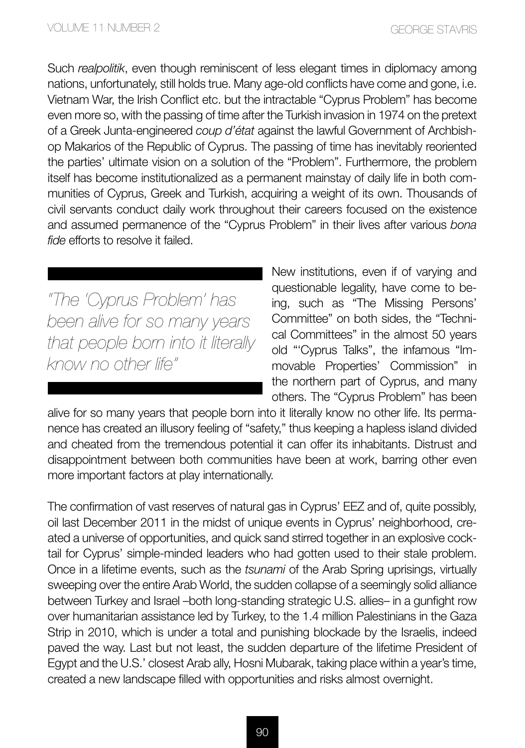Such *realpolitik*, even though reminiscent of less elegant times in diplomacy among nations, unfortunately, still holds true. Many age-old conflicts have come and gone, i.e. Vietnam War, the Irish Conflict etc. but the intractable "Cyprus Problem" has become even more so, with the passing of time after the Turkish invasion in 1974 on the pretext of a Greek Junta-engineered *coup d'état* against the lawful Government of Archbishop Makarios of the Republic of Cyprus. The passing of time has inevitably reoriented the parties' ultimate vision on a solution of the "Problem". Furthermore, the problem itself has become institutionalized as a permanent mainstay of daily life in both communities of Cyprus, Greek and Turkish, acquiring a weight of its own. Thousands of civil servants conduct daily work throughout their careers focused on the existence and assumed permanence of the "Cyprus Problem" in their lives after various *bona fide* efforts to resolve it failed.

*"The 'Cyprus Problem' has been alive for so many years that people born into it literally know no other life"*

New institutions, even if of varying and questionable legality, have come to being, such as "The Missing Persons' Committee" on both sides, the "Technical Committees" in the almost 50 years old "'Cyprus Talks", the infamous "Immovable Properties' Commission" in the northern part of Cyprus, and many others. The "Cyprus Problem" has been

alive for so many years that people born into it literally know no other life. Its permanence has created an illusory feeling of "safety," thus keeping a hapless island divided and cheated from the tremendous potential it can offer its inhabitants. Distrust and disappointment between both communities have been at work, barring other even more important factors at play internationally.

The confirmation of vast reserves of natural gas in Cyprus' EEZ and of, quite possibly, oil last December 2011 in the midst of unique events in Cyprus' neighborhood, created a universe of opportunities, and quick sand stirred together in an explosive cocktail for Cyprus' simple-minded leaders who had gotten used to their stale problem. Once in a lifetime events, such as the *tsunami* of the Arab Spring uprisings, virtually sweeping over the entire Arab World, the sudden collapse of a seemingly solid alliance between Turkey and Israel –both long-standing strategic U.S. allies– in a gunfight row over humanitarian assistance led by Turkey, to the 1.4 million Palestinians in the Gaza Strip in 2010, which is under a total and punishing blockade by the Israelis, indeed paved the way. Last but not least, the sudden departure of the lifetime President of Egypt and the U.S.' closest Arab ally, Hosni Mubarak, taking place within a year's time, created a new landscape filled with opportunities and risks almost overnight.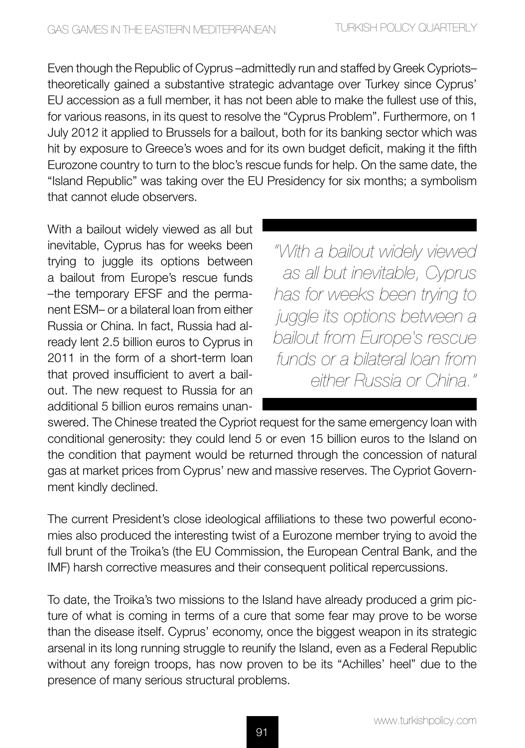Even though the Republic of Cyprus –admittedly run and staffed by Greek Cypriots– theoretically gained a substantive strategic advantage over Turkey since Cyprus' EU accession as a full member, it has not been able to make the fullest use of this, for various reasons, in its quest to resolve the "Cyprus Problem". Furthermore, on 1 July 2012 it applied to Brussels for a bailout, both for its banking sector which was hit by exposure to Greece's woes and for its own budget deficit, making it the fifth Eurozone country to turn to the bloc's rescue funds for help. On the same date, the "Island Republic" was taking over the EU Presidency for six months; a symbolism that cannot elude observers.

With a bailout widely viewed as all but inevitable, Cyprus has for weeks been trying to juggle its options between a bailout from Europe's rescue funds –the temporary EFSF and the permanent ESM– or a bilateral loan from either Russia or China. In fact, Russia had already lent 2.5 billion euros to Cyprus in 2011 in the form of a short-term loan that proved insufficient to avert a bailout. The new request to Russia for an additional 5 billion euros remains unan-

*"With a bailout widely viewed as all but inevitable, Cyprus has for weeks been trying to juggle its options between a bailout from Europe's rescue funds or a bilateral loan from either Russia or China."*

swered. The Chinese treated the Cypriot request for the same emergency loan with conditional generosity: they could lend 5 or even 15 billion euros to the Island on the condition that payment would be returned through the concession of natural gas at market prices from Cyprus' new and massive reserves. The Cypriot Government kindly declined.

The current President's close ideological affiliations to these two powerful economies also produced the interesting twist of a Eurozone member trying to avoid the full brunt of the Troika's (the EU Commission, the European Central Bank, and the IMF) harsh corrective measures and their consequent political repercussions.

To date, the Troika's two missions to the Island have already produced a grim picture of what is coming in terms of a cure that some fear may prove to be worse than the disease itself. Cyprus' economy, once the biggest weapon in its strategic arsenal in its long running struggle to reunify the Island, even as a Federal Republic without any foreign troops, has now proven to be its "Achilles' heel" due to the presence of many serious structural problems.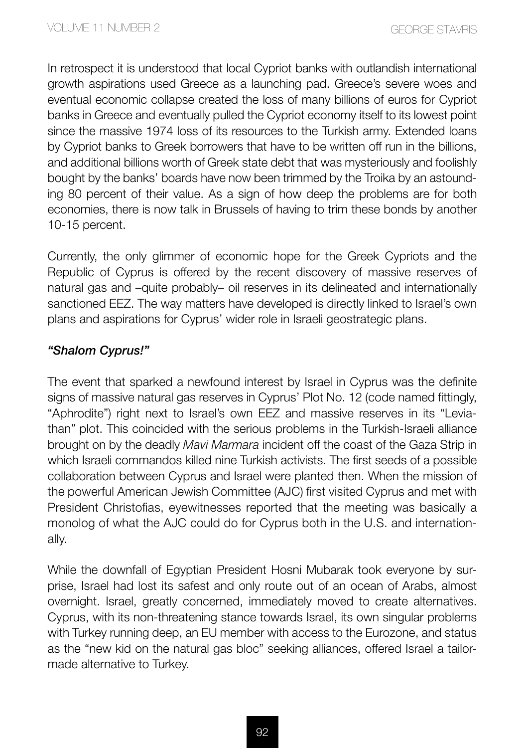In retrospect it is understood that local Cypriot banks with outlandish international growth aspirations used Greece as a launching pad. Greece's severe woes and eventual economic collapse created the loss of many billions of euros for Cypriot banks in Greece and eventually pulled the Cypriot economy itself to its lowest point since the massive 1974 loss of its resources to the Turkish army. Extended loans by Cypriot banks to Greek borrowers that have to be written off run in the billions, and additional billions worth of Greek state debt that was mysteriously and foolishly bought by the banks' boards have now been trimmed by the Troika by an astounding 80 percent of their value. As a sign of how deep the problems are for both economies, there is now talk in Brussels of having to trim these bonds by another 10-15 percent.

Currently, the only glimmer of economic hope for the Greek Cypriots and the Republic of Cyprus is offered by the recent discovery of massive reserves of natural gas and –quite probably– oil reserves in its delineated and internationally sanctioned EEZ. The way matters have developed is directly linked to Israel's own plans and aspirations for Cyprus' wider role in Israeli geostrategic plans.

#### *"Shalom Cyprus!"*

The event that sparked a newfound interest by Israel in Cyprus was the definite signs of massive natural gas reserves in Cyprus' Plot No. 12 (code named fittingly, "Aphrodite") right next to Israel's own EEZ and massive reserves in its "Leviathan" plot. This coincided with the serious problems in the Turkish-Israeli alliance brought on by the deadly *Mavi Marmara* incident off the coast of the Gaza Strip in which Israeli commandos killed nine Turkish activists. The first seeds of a possible collaboration between Cyprus and Israel were planted then. When the mission of the powerful American Jewish Committee (AJC) first visited Cyprus and met with President Christofias, eyewitnesses reported that the meeting was basically a monolog of what the AJC could do for Cyprus both in the U.S. and internationally.

While the downfall of Egyptian President Hosni Mubarak took everyone by surprise, Israel had lost its safest and only route out of an ocean of Arabs, almost overnight. Israel, greatly concerned, immediately moved to create alternatives. Cyprus, with its non-threatening stance towards Israel, its own singular problems with Turkey running deep, an EU member with access to the Eurozone, and status as the "new kid on the natural gas bloc" seeking alliances, offered Israel a tailormade alternative to Turkey.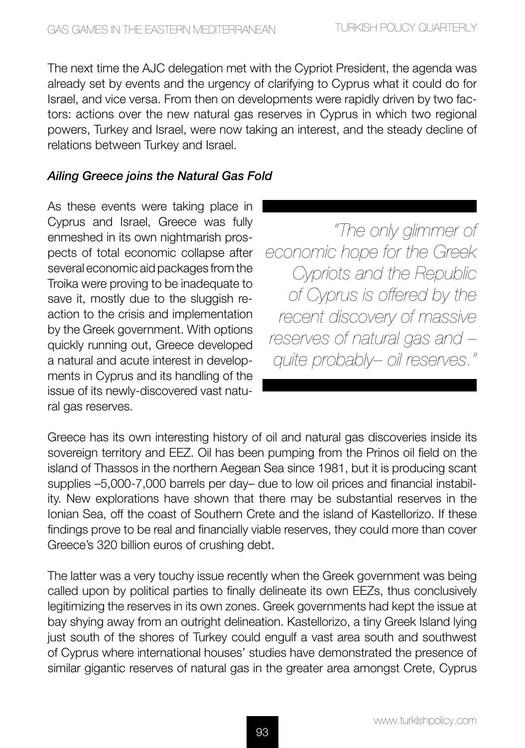The next time the AJC delegation met with the Cypriot President, the agenda was already set by events and the urgency of clarifying to Cyprus what it could do for Israel, and vice versa. From then on developments were rapidly driven by two factors: actions over the new natural gas reserves in Cyprus in which two regional powers, Turkey and Israel, were now taking an interest, and the steady decline of relations between Turkey and Israel.

#### *Ailing Greece joins the Natural Gas Fold*

As these events were taking place in Cyprus and Israel, Greece was fully enmeshed in its own nightmarish prospects of total economic collapse after several economic aid packages from the Troika were proving to be inadequate to save it, mostly due to the sluggish reaction to the crisis and implementation by the Greek government. With options quickly running out, Greece developed a natural and acute interest in developments in Cyprus and its handling of the issue of its newly-discovered vast natural gas reserves.

*"The only glimmer of economic hope for the Greek Cypriots and the Republic of Cyprus is offered by the recent discovery of massive reserves of natural gas and – quite probably– oil reserves."*

Greece has its own interesting history of oil and natural gas discoveries inside its sovereign territory and EEZ. Oil has been pumping from the Prinos oil field on the island of Thassos in the northern Aegean Sea since 1981, but it is producing scant supplies –5,000-7,000 barrels per day– due to low oil prices and financial instability. New explorations have shown that there may be substantial reserves in the Ionian Sea, off the coast of Southern Crete and the island of Kastellorizo. If these findings prove to be real and financially viable reserves, they could more than cover Greece's 320 billion euros of crushing debt.

The latter was a very touchy issue recently when the Greek government was being called upon by political parties to finally delineate its own EEZs, thus conclusively legitimizing the reserves in its own zones. Greek governments had kept the issue at bay shying away from an outright delineation. Kastellorizo, a tiny Greek Island lying just south of the shores of Turkey could engulf a vast area south and southwest of Cyprus where international houses' studies have demonstrated the presence of similar gigantic reserves of natural gas in the greater area amongst Crete, Cyprus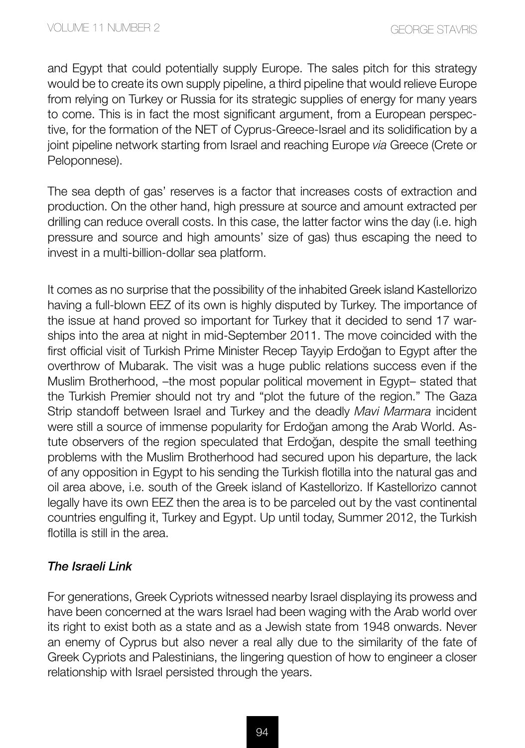and Egypt that could potentially supply Europe. The sales pitch for this strategy would be to create its own supply pipeline, a third pipeline that would relieve Europe from relying on Turkey or Russia for its strategic supplies of energy for many years to come. This is in fact the most significant argument, from a European perspective, for the formation of the NET of Cyprus-Greece-Israel and its solidification by a joint pipeline network starting from Israel and reaching Europe *via* Greece (Crete or Peloponnese).

The sea depth of gas' reserves is a factor that increases costs of extraction and production. On the other hand, high pressure at source and amount extracted per drilling can reduce overall costs. In this case, the latter factor wins the day (i.e. high pressure and source and high amounts' size of gas) thus escaping the need to invest in a multi-billion-dollar sea platform.

It comes as no surprise that the possibility of the inhabited Greek island Kastellorizo having a full-blown EEZ of its own is highly disputed by Turkey. The importance of the issue at hand proved so important for Turkey that it decided to send 17 warships into the area at night in mid-September 2011. The move coincided with the first official visit of Turkish Prime Minister Recep Tayyip Erdoğan to Egypt after the overthrow of Mubarak. The visit was a huge public relations success even if the Muslim Brotherhood, –the most popular political movement in Egypt– stated that the Turkish Premier should not try and "plot the future of the region." The Gaza Strip standoff between Israel and Turkey and the deadly *Mavi Marmara* incident were still a source of immense popularity for Erdoğan among the Arab World. Astute observers of the region speculated that Erdoğan, despite the small teething problems with the Muslim Brotherhood had secured upon his departure, the lack of any opposition in Egypt to his sending the Turkish flotilla into the natural gas and oil area above, i.e. south of the Greek island of Kastellorizo. If Kastellorizo cannot legally have its own EEZ then the area is to be parceled out by the vast continental countries engulfing it, Turkey and Egypt. Up until today, Summer 2012, the Turkish flotilla is still in the area.

#### *The Israeli Link*

For generations, Greek Cypriots witnessed nearby Israel displaying its prowess and have been concerned at the wars Israel had been waging with the Arab world over its right to exist both as a state and as a Jewish state from 1948 onwards. Never an enemy of Cyprus but also never a real ally due to the similarity of the fate of Greek Cypriots and Palestinians, the lingering question of how to engineer a closer relationship with Israel persisted through the years.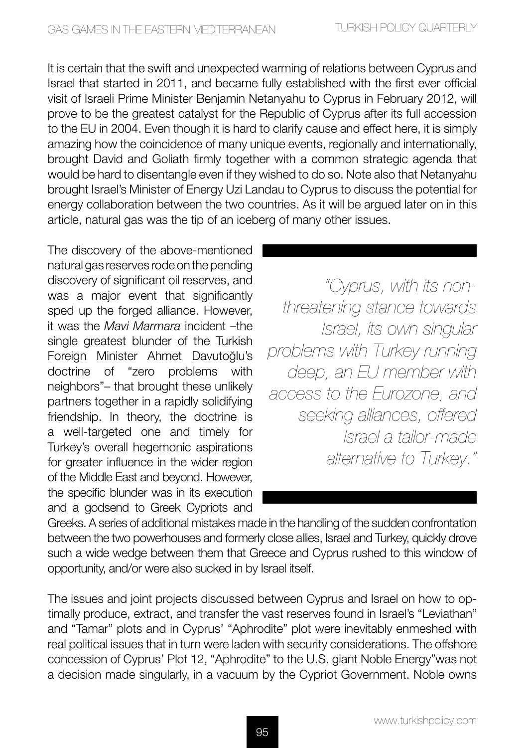It is certain that the swift and unexpected warming of relations between Cyprus and Israel that started in 2011, and became fully established with the first ever official visit of Israeli Prime Minister Benjamin Netanyahu to Cyprus in February 2012, will prove to be the greatest catalyst for the Republic of Cyprus after its full accession to the EU in 2004. Even though it is hard to clarify cause and effect here, it is simply amazing how the coincidence of many unique events, regionally and internationally, brought David and Goliath firmly together with a common strategic agenda that would be hard to disentangle even if they wished to do so. Note also that Netanyahu brought Israel's Minister of Energy Uzi Landau to Cyprus to discuss the potential for energy collaboration between the two countries. As it will be argued later on in this article, natural gas was the tip of an iceberg of many other issues.

The discovery of the above-mentioned natural gas reserves rode on the pending discovery of significant oil reserves, and was a major event that significantly sped up the forged alliance. However, it was the *Mavi Marmara* incident –the single greatest blunder of the Turkish Foreign Minister Ahmet Davutoğlu's doctrine of "zero problems with neighbors"– that brought these unlikely partners together in a rapidly solidifying friendship. In theory, the doctrine is a well-targeted one and timely for Turkey's overall hegemonic aspirations for greater influence in the wider region of the Middle East and beyond. However, the specific blunder was in its execution and a godsend to Greek Cypriots and

*"Cyprus, with its nonthreatening stance towards Israel, its own singular problems with Turkey running deep, an EU member with access to the Eurozone, and seeking alliances, offered Israel a tailor-made alternative to Turkey."*

Greeks. A series of additional mistakes made in the handling of the sudden confrontation between the two powerhouses and formerly close allies, Israel and Turkey, quickly drove such a wide wedge between them that Greece and Cyprus rushed to this window of opportunity, and/or were also sucked in by Israel itself.

The issues and joint projects discussed between Cyprus and Israel on how to optimally produce, extract, and transfer the vast reserves found in Israel's "Leviathan" and "Tamar" plots and in Cyprus' "Aphrodite" plot were inevitably enmeshed with real political issues that in turn were laden with security considerations. The offshore concession of Cyprus' Plot 12, "Aphrodite" to the U.S. giant Noble Energy"was not a decision made singularly, in a vacuum by the Cypriot Government. Noble owns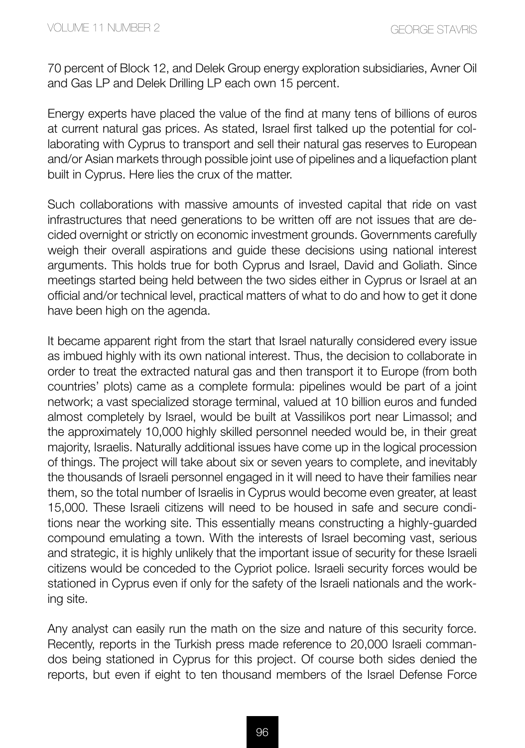70 percent of Block 12, and Delek Group energy exploration subsidiaries, Avner Oil and Gas LP and Delek Drilling LP each own 15 percent.

Energy experts have placed the value of the find at many tens of billions of euros at current natural gas prices. As stated, Israel first talked up the potential for collaborating with Cyprus to transport and sell their natural gas reserves to European and/or Asian markets through possible joint use of pipelines and a liquefaction plant built in Cyprus. Here lies the crux of the matter.

Such collaborations with massive amounts of invested capital that ride on vast infrastructures that need generations to be written off are not issues that are decided overnight or strictly on economic investment grounds. Governments carefully weigh their overall aspirations and guide these decisions using national interest arguments. This holds true for both Cyprus and Israel, David and Goliath. Since meetings started being held between the two sides either in Cyprus or Israel at an official and/or technical level, practical matters of what to do and how to get it done have been high on the agenda.

It became apparent right from the start that Israel naturally considered every issue as imbued highly with its own national interest. Thus, the decision to collaborate in order to treat the extracted natural gas and then transport it to Europe (from both countries' plots) came as a complete formula: pipelines would be part of a joint network; a vast specialized storage terminal, valued at 10 billion euros and funded almost completely by Israel, would be built at Vassilikos port near Limassol; and the approximately 10,000 highly skilled personnel needed would be, in their great majority, Israelis. Naturally additional issues have come up in the logical procession of things. The project will take about six or seven years to complete, and inevitably the thousands of Israeli personnel engaged in it will need to have their families near them, so the total number of Israelis in Cyprus would become even greater, at least 15,000. These Israeli citizens will need to be housed in safe and secure conditions near the working site. This essentially means constructing a highly-guarded compound emulating a town. With the interests of Israel becoming vast, serious and strategic, it is highly unlikely that the important issue of security for these Israeli citizens would be conceded to the Cypriot police. Israeli security forces would be stationed in Cyprus even if only for the safety of the Israeli nationals and the working site.

Any analyst can easily run the math on the size and nature of this security force. Recently, reports in the Turkish press made reference to 20,000 Israeli commandos being stationed in Cyprus for this project. Of course both sides denied the reports, but even if eight to ten thousand members of the Israel Defense Force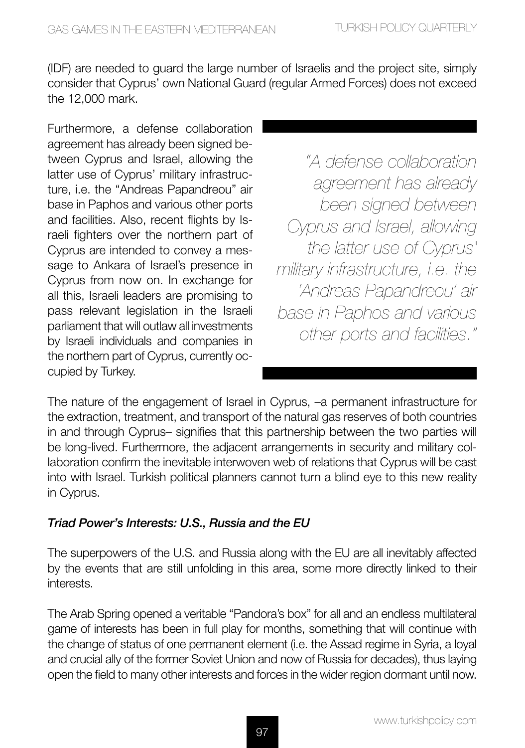(IDF) are needed to guard the large number of Israelis and the project site, simply consider that Cyprus' own National Guard (regular Armed Forces) does not exceed the 12,000 mark.

Furthermore, a defense collaboration agreement has already been signed between Cyprus and Israel, allowing the latter use of Cyprus' military infrastructure, i.e. the "Andreas Papandreou" air base in Paphos and various other ports and facilities. Also, recent flights by Israeli fighters over the northern part of Cyprus are intended to convey a message to Ankara of Israel's presence in Cyprus from now on. In exchange for all this, Israeli leaders are promising to pass relevant legislation in the Israeli parliament that will outlaw all investments by Israeli individuals and companies in the northern part of Cyprus, currently occupied by Turkey.

*"A defense collaboration agreement has already been signed between Cyprus and Israel, allowing the latter use of Cyprus' military infrastructure, i.e. the 'Andreas Papandreou' air base in Paphos and various other ports and facilities."*

The nature of the engagement of Israel in Cyprus, –a permanent infrastructure for the extraction, treatment, and transport of the natural gas reserves of both countries in and through Cyprus– signifies that this partnership between the two parties will be long-lived. Furthermore, the adjacent arrangements in security and military collaboration confirm the inevitable interwoven web of relations that Cyprus will be cast into with Israel. Turkish political planners cannot turn a blind eye to this new reality in Cyprus.

### *Triad Power's Interests: U.S., Russia and the EU*

The superpowers of the U.S. and Russia along with the EU are all inevitably affected by the events that are still unfolding in this area, some more directly linked to their interests.

The Arab Spring opened a veritable "Pandora's box" for all and an endless multilateral game of interests has been in full play for months, something that will continue with the change of status of one permanent element (i.e. the Assad regime in Syria, a loyal and crucial ally of the former Soviet Union and now of Russia for decades), thus laying open the field to many other interests and forces in the wider region dormant until now.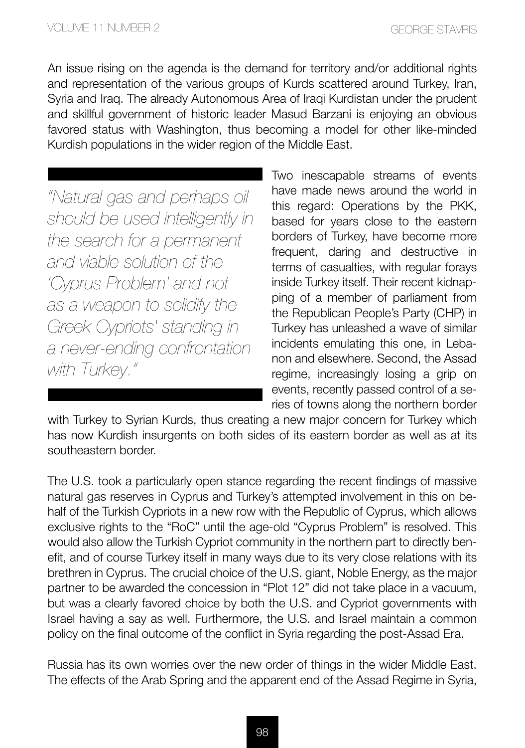An issue rising on the agenda is the demand for territory and/or additional rights and representation of the various groups of Kurds scattered around Turkey, Iran, Syria and Iraq. The already Autonomous Area of Iraqi Kurdistan under the prudent and skillful government of historic leader Masud Barzani is enjoying an obvious favored status with Washington, thus becoming a model for other like-minded Kurdish populations in the wider region of the Middle East.

*"Natural gas and perhaps oil should be used intelligently in the search for a permanent and viable solution of the 'Cyprus Problem' and not as a weapon to solidify the Greek Cypriots' standing in a never-ending confrontation with Turkey."*

Two inescapable streams of events have made news around the world in this regard: Operations by the PKK, based for years close to the eastern borders of Turkey, have become more frequent, daring and destructive in terms of casualties, with regular forays inside Turkey itself. Their recent kidnapping of a member of parliament from the Republican People's Party (CHP) in Turkey has unleashed a wave of similar incidents emulating this one, in Lebanon and elsewhere. Second, the Assad regime, increasingly losing a grip on events, recently passed control of a series of towns along the northern border

with Turkey to Syrian Kurds, thus creating a new major concern for Turkey which has now Kurdish insurgents on both sides of its eastern border as well as at its southeastern border.

The U.S. took a particularly open stance regarding the recent findings of massive natural gas reserves in Cyprus and Turkey's attempted involvement in this on behalf of the Turkish Cypriots in a new row with the Republic of Cyprus, which allows exclusive rights to the "RoC" until the age-old "Cyprus Problem" is resolved. This would also allow the Turkish Cypriot community in the northern part to directly benefit, and of course Turkey itself in many ways due to its very close relations with its brethren in Cyprus. The crucial choice of the U.S. giant, Noble Energy, as the major partner to be awarded the concession in "Plot 12" did not take place in a vacuum, but was a clearly favored choice by both the U.S. and Cypriot governments with Israel having a say as well. Furthermore, the U.S. and Israel maintain a common policy on the final outcome of the conflict in Syria regarding the post-Assad Era.

Russia has its own worries over the new order of things in the wider Middle East. The effects of the Arab Spring and the apparent end of the Assad Regime in Syria,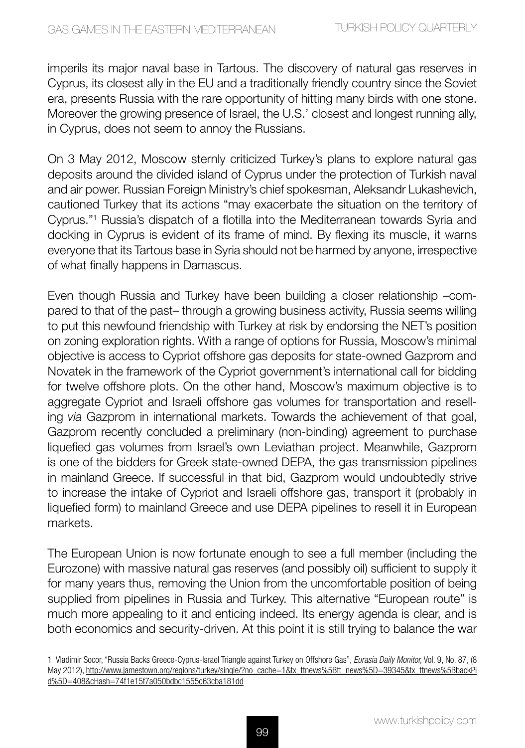imperils its major naval base in Tartous. The discovery of natural gas reserves in Cyprus, its closest ally in the EU and a traditionally friendly country since the Soviet era, presents Russia with the rare opportunity of hitting many birds with one stone. Moreover the growing presence of Israel, the U.S.' closest and longest running ally, in Cyprus, does not seem to annoy the Russians.

On 3 May 2012, Moscow sternly criticized Turkey's plans to explore natural gas deposits around the divided island of Cyprus under the protection of Turkish naval and air power. Russian Foreign Ministry's chief spokesman, Aleksandr Lukashevich, cautioned Turkey that its actions "may exacerbate the situation on the territory of Cyprus."1 Russia's dispatch of a flotilla into the Mediterranean towards Syria and docking in Cyprus is evident of its frame of mind. By flexing its muscle, it warns everyone that its Tartous base in Syria should not be harmed by anyone, irrespective of what finally happens in Damascus.

Even though Russia and Turkey have been building a closer relationship –compared to that of the past– through a growing business activity, Russia seems willing to put this newfound friendship with Turkey at risk by endorsing the NET's position on zoning exploration rights. With a range of options for Russia, Moscow's minimal objective is access to Cypriot offshore gas deposits for state-owned Gazprom and Novatek in the framework of the Cypriot government's international call for bidding for twelve offshore plots. On the other hand, Moscow's maximum objective is to aggregate Cypriot and Israeli offshore gas volumes for transportation and reselling *via* Gazprom in international markets. Towards the achievement of that goal, Gazprom recently concluded a preliminary (non-binding) agreement to purchase liquefied gas volumes from Israel's own Leviathan project. Meanwhile, Gazprom is one of the bidders for Greek state-owned DEPA, the gas transmission pipelines in mainland Greece. If successful in that bid, Gazprom would undoubtedly strive to increase the intake of Cypriot and Israeli offshore gas, transport it (probably in liquefied form) to mainland Greece and use DEPA pipelines to resell it in European markets.

The European Union is now fortunate enough to see a full member (including the Eurozone) with massive natural gas reserves (and possibly oil) sufficient to supply it for many years thus, removing the Union from the uncomfortable position of being supplied from pipelines in Russia and Turkey. This alternative "European route" is much more appealing to it and enticing indeed. Its energy agenda is clear, and is both economics and security-driven. At this point it is still trying to balance the war

<sup>1</sup> Vladimir Socor, "Russia Backs Greece-Cyprus-Israel Triangle against Turkey on Offshore Gas", *Eurasia Daily Monitor,* Vol. 9, No. 87, (8 May 2012), http://www.jamestown.org/regions/turkey/single/?no\_cache=1&tx\_ttnews%5Btt\_news%5D=39345&tx\_ttnews%5BbackPi d%5D=408&cHash=74f1e15f7a050bdbc1555c63cba181dd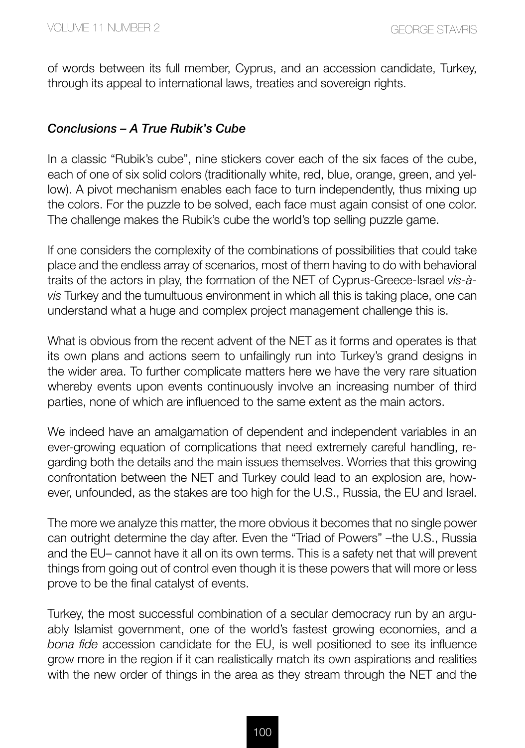of words between its full member, Cyprus, and an accession candidate, Turkey, through its appeal to international laws, treaties and sovereign rights.

#### *Conclusions – A True Rubik's Cube*

In a classic "Rubik's cube", nine stickers cover each of the six faces of the cube, each of one of six solid colors (traditionally white, red, blue, orange, green, and yellow). A pivot mechanism enables each face to turn independently, thus mixing up the colors. For the puzzle to be solved, each face must again consist of one color. The challenge makes the Rubik's cube the world's top selling puzzle game.

If one considers the complexity of the combinations of possibilities that could take place and the endless array of scenarios, most of them having to do with behavioral traits of the actors in play, the formation of the NET of Cyprus-Greece-Israel *vis-àvis* Turkey and the tumultuous environment in which all this is taking place, one can understand what a huge and complex project management challenge this is.

What is obvious from the recent advent of the NET as it forms and operates is that its own plans and actions seem to unfailingly run into Turkey's grand designs in the wider area. To further complicate matters here we have the very rare situation whereby events upon events continuously involve an increasing number of third parties, none of which are influenced to the same extent as the main actors.

We indeed have an amalgamation of dependent and independent variables in an ever-growing equation of complications that need extremely careful handling, regarding both the details and the main issues themselves. Worries that this growing confrontation between the NET and Turkey could lead to an explosion are, however, unfounded, as the stakes are too high for the U.S., Russia, the EU and Israel.

The more we analyze this matter, the more obvious it becomes that no single power can outright determine the day after. Even the "Triad of Powers" –the U.S., Russia and the EU– cannot have it all on its own terms. This is a safety net that will prevent things from going out of control even though it is these powers that will more or less prove to be the final catalyst of events.

Turkey, the most successful combination of a secular democracy run by an arguably Islamist government, one of the world's fastest growing economies, and a *bona fide* accession candidate for the EU, is well positioned to see its influence grow more in the region if it can realistically match its own aspirations and realities with the new order of things in the area as they stream through the NET and the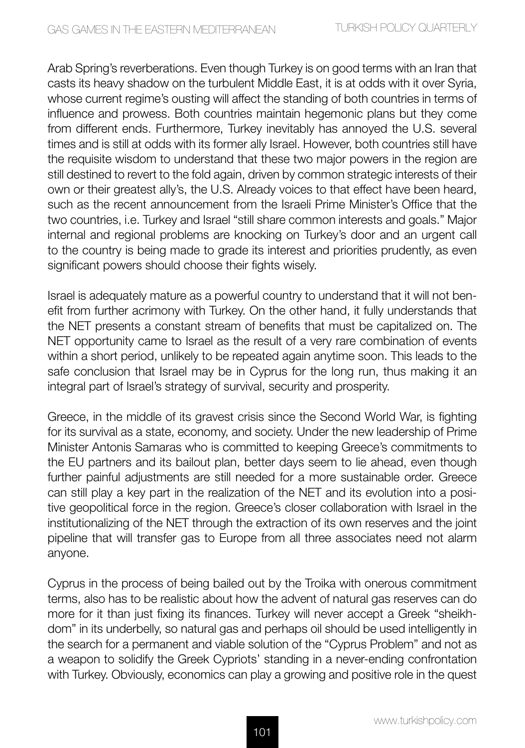Arab Spring's reverberations. Even though Turkey is on good terms with an Iran that casts its heavy shadow on the turbulent Middle East, it is at odds with it over Syria, whose current regime's ousting will affect the standing of both countries in terms of influence and prowess. Both countries maintain hegemonic plans but they come from different ends. Furthermore, Turkey inevitably has annoyed the U.S. several times and is still at odds with its former ally Israel. However, both countries still have the requisite wisdom to understand that these two major powers in the region are still destined to revert to the fold again, driven by common strategic interests of their own or their greatest ally's, the U.S. Already voices to that effect have been heard, such as the recent announcement from the Israeli Prime Minister's Office that the two countries, i.e. Turkey and Israel "still share common interests and goals." Major internal and regional problems are knocking on Turkey's door and an urgent call to the country is being made to grade its interest and priorities prudently, as even significant powers should choose their fights wisely.

Israel is adequately mature as a powerful country to understand that it will not benefit from further acrimony with Turkey. On the other hand, it fully understands that the NET presents a constant stream of benefits that must be capitalized on. The NET opportunity came to Israel as the result of a very rare combination of events within a short period, unlikely to be repeated again anytime soon. This leads to the safe conclusion that Israel may be in Cyprus for the long run, thus making it an integral part of Israel's strategy of survival, security and prosperity.

Greece, in the middle of its gravest crisis since the Second World War, is fighting for its survival as a state, economy, and society. Under the new leadership of Prime Minister Antonis Samaras who is committed to keeping Greece's commitments to the EU partners and its bailout plan, better days seem to lie ahead, even though further painful adjustments are still needed for a more sustainable order. Greece can still play a key part in the realization of the NET and its evolution into a positive geopolitical force in the region. Greece's closer collaboration with Israel in the institutionalizing of the NET through the extraction of its own reserves and the joint pipeline that will transfer gas to Europe from all three associates need not alarm anyone.

Cyprus in the process of being bailed out by the Troika with onerous commitment terms, also has to be realistic about how the advent of natural gas reserves can do more for it than just fixing its finances. Turkey will never accept a Greek "sheikhdom" in its underbelly, so natural gas and perhaps oil should be used intelligently in the search for a permanent and viable solution of the "Cyprus Problem" and not as a weapon to solidify the Greek Cypriots' standing in a never-ending confrontation with Turkey. Obviously, economics can play a growing and positive role in the quest